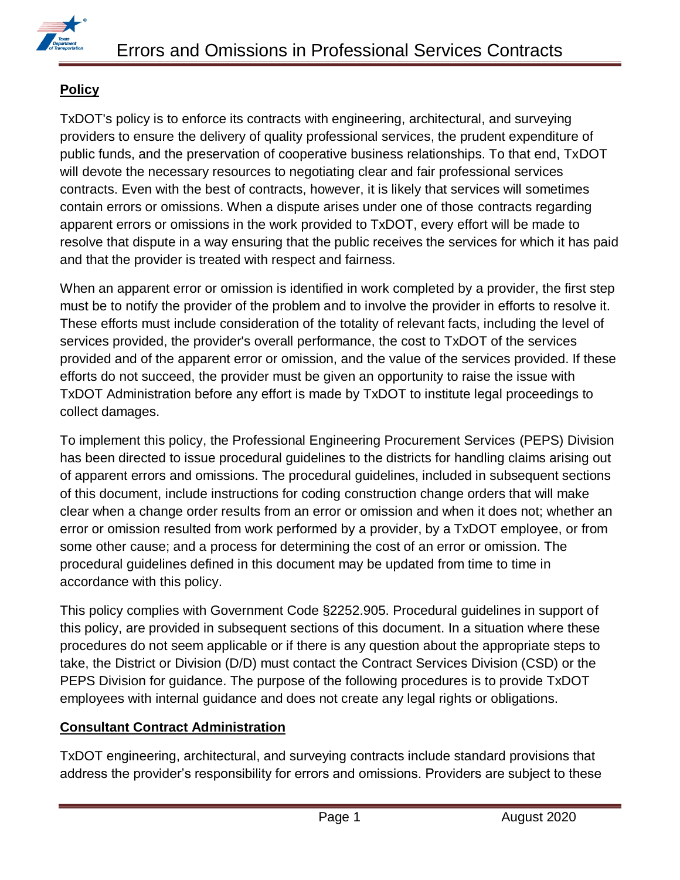

# **Policy**

TxDOT's policy is to enforce its contracts with engineering, architectural, and surveying providers to ensure the delivery of quality professional services, the prudent expenditure of public funds, and the preservation of cooperative business relationships. To that end, TxDOT will devote the necessary resources to negotiating clear and fair professional services contracts. Even with the best of contracts, however, it is likely that services will sometimes contain errors or omissions. When a dispute arises under one of those contracts regarding apparent errors or omissions in the work provided to TxDOT, every effort will be made to resolve that dispute in a way ensuring that the public receives the services for which it has paid and that the provider is treated with respect and fairness.

When an apparent error or omission is identified in work completed by a provider, the first step must be to notify the provider of the problem and to involve the provider in efforts to resolve it. These efforts must include consideration of the totality of relevant facts, including the level of services provided, the provider's overall performance, the cost to TxDOT of the services provided and of the apparent error or omission, and the value of the services provided. If these efforts do not succeed, the provider must be given an opportunity to raise the issue with TxDOT Administration before any effort is made by TxDOT to institute legal proceedings to collect damages.

To implement this policy, the Professional Engineering Procurement Services (PEPS) Division has been directed to issue procedural guidelines to the districts for handling claims arising out of apparent errors and omissions. The procedural guidelines, included in subsequent sections of this document, include instructions for coding construction change orders that will make clear when a change order results from an error or omission and when it does not; whether an error or omission resulted from work performed by a provider, by a TxDOT employee, or from some other cause; and a process for determining the cost of an error or omission. The procedural guidelines defined in this document may be updated from time to time in accordance with this policy.

This policy complies with Government Code §2252.905. Procedural guidelines in support of this policy, are provided in subsequent sections of this document. In a situation where these procedures do not seem applicable or if there is any question about the appropriate steps to take, the District or Division (D/D) must contact the Contract Services Division (CSD) or the PEPS Division for guidance. The purpose of the following procedures is to provide TxDOT employees with internal guidance and does not create any legal rights or obligations.

# **Consultant Contract Administration**

TxDOT engineering, architectural, and surveying contracts include standard provisions that address the provider's responsibility for errors and omissions. Providers are subject to these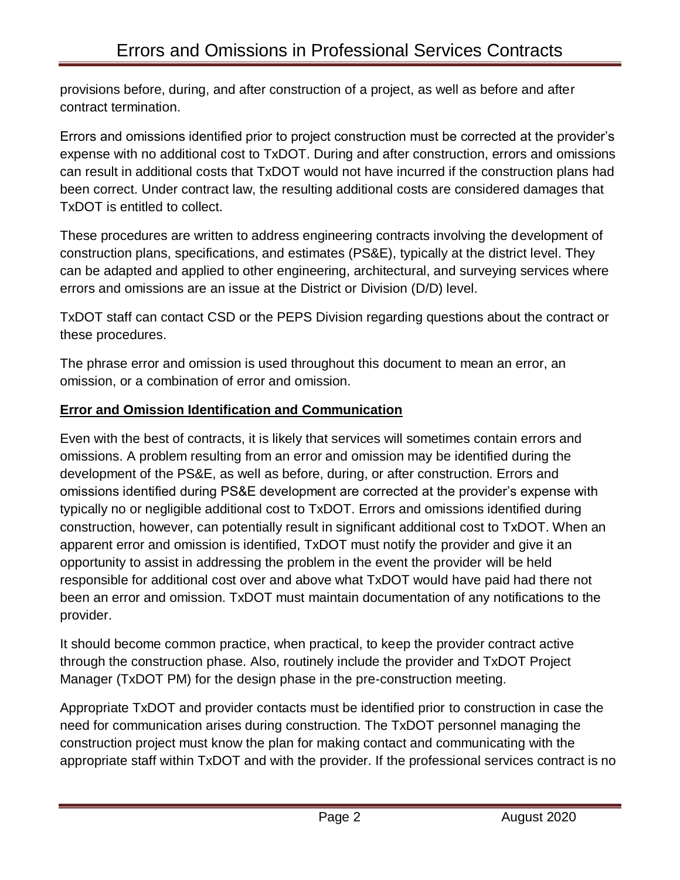provisions before, during, and after construction of a project, as well as before and after contract termination.

Errors and omissions identified prior to project construction must be corrected at the provider's expense with no additional cost to TxDOT. During and after construction, errors and omissions can result in additional costs that TxDOT would not have incurred if the construction plans had been correct. Under contract law, the resulting additional costs are considered damages that TxDOT is entitled to collect.

These procedures are written to address engineering contracts involving the development of construction plans, specifications, and estimates (PS&E), typically at the district level. They can be adapted and applied to other engineering, architectural, and surveying services where errors and omissions are an issue at the District or Division (D/D) level.

TxDOT staff can contact CSD or the PEPS Division regarding questions about the contract or these procedures.

The phrase error and omission is used throughout this document to mean an error, an omission, or a combination of error and omission.

## **Error and Omission Identification and Communication**

Even with the best of contracts, it is likely that services will sometimes contain errors and omissions. A problem resulting from an error and omission may be identified during the development of the PS&E, as well as before, during, or after construction. Errors and omissions identified during PS&E development are corrected at the provider's expense with typically no or negligible additional cost to TxDOT. Errors and omissions identified during construction, however, can potentially result in significant additional cost to TxDOT. When an apparent error and omission is identified, TxDOT must notify the provider and give it an opportunity to assist in addressing the problem in the event the provider will be held responsible for additional cost over and above what TxDOT would have paid had there not been an error and omission. TxDOT must maintain documentation of any notifications to the provider.

It should become common practice, when practical, to keep the provider contract active through the construction phase. Also, routinely include the provider and TxDOT Project Manager (TxDOT PM) for the design phase in the pre-construction meeting.

Appropriate TxDOT and provider contacts must be identified prior to construction in case the need for communication arises during construction. The TxDOT personnel managing the construction project must know the plan for making contact and communicating with the appropriate staff within TxDOT and with the provider. If the professional services contract is no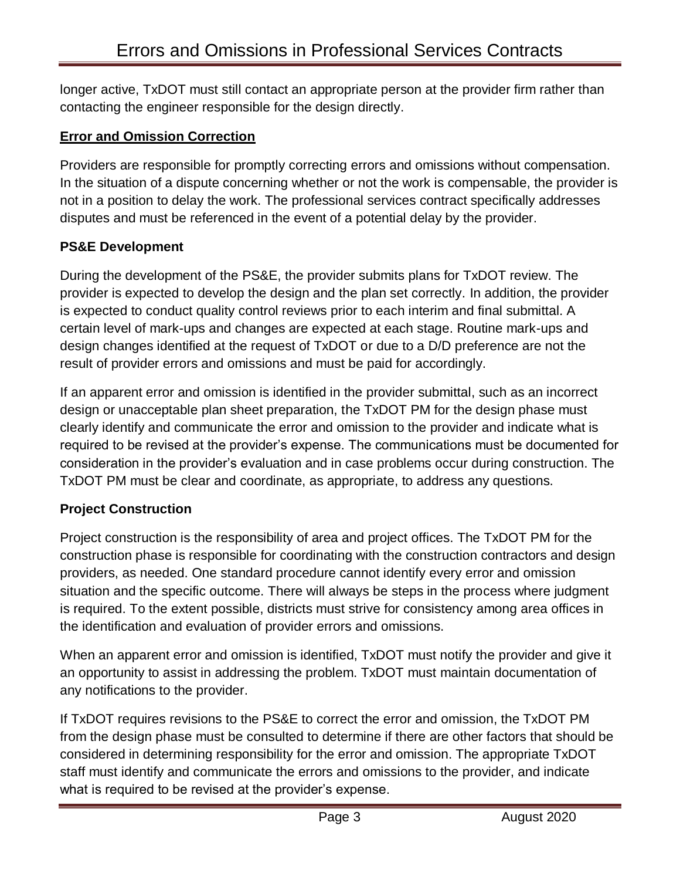longer active, TxDOT must still contact an appropriate person at the provider firm rather than contacting the engineer responsible for the design directly.

## **Error and Omission Correction**

Providers are responsible for promptly correcting errors and omissions without compensation. In the situation of a dispute concerning whether or not the work is compensable, the provider is not in a position to delay the work. The professional services contract specifically addresses disputes and must be referenced in the event of a potential delay by the provider.

#### **PS&E Development**

During the development of the PS&E, the provider submits plans for TxDOT review. The provider is expected to develop the design and the plan set correctly. In addition, the provider is expected to conduct quality control reviews prior to each interim and final submittal. A certain level of mark-ups and changes are expected at each stage. Routine mark-ups and design changes identified at the request of TxDOT or due to a D/D preference are not the result of provider errors and omissions and must be paid for accordingly.

If an apparent error and omission is identified in the provider submittal, such as an incorrect design or unacceptable plan sheet preparation, the TxDOT PM for the design phase must clearly identify and communicate the error and omission to the provider and indicate what is required to be revised at the provider's expense. The communications must be documented for consideration in the provider's evaluation and in case problems occur during construction. The TxDOT PM must be clear and coordinate, as appropriate, to address any questions.

## **Project Construction**

Project construction is the responsibility of area and project offices. The TxDOT PM for the construction phase is responsible for coordinating with the construction contractors and design providers, as needed. One standard procedure cannot identify every error and omission situation and the specific outcome. There will always be steps in the process where judgment is required. To the extent possible, districts must strive for consistency among area offices in the identification and evaluation of provider errors and omissions.

When an apparent error and omission is identified, TxDOT must notify the provider and give it an opportunity to assist in addressing the problem. TxDOT must maintain documentation of any notifications to the provider.

If TxDOT requires revisions to the PS&E to correct the error and omission, the TxDOT PM from the design phase must be consulted to determine if there are other factors that should be considered in determining responsibility for the error and omission. The appropriate TxDOT staff must identify and communicate the errors and omissions to the provider, and indicate what is required to be revised at the provider's expense.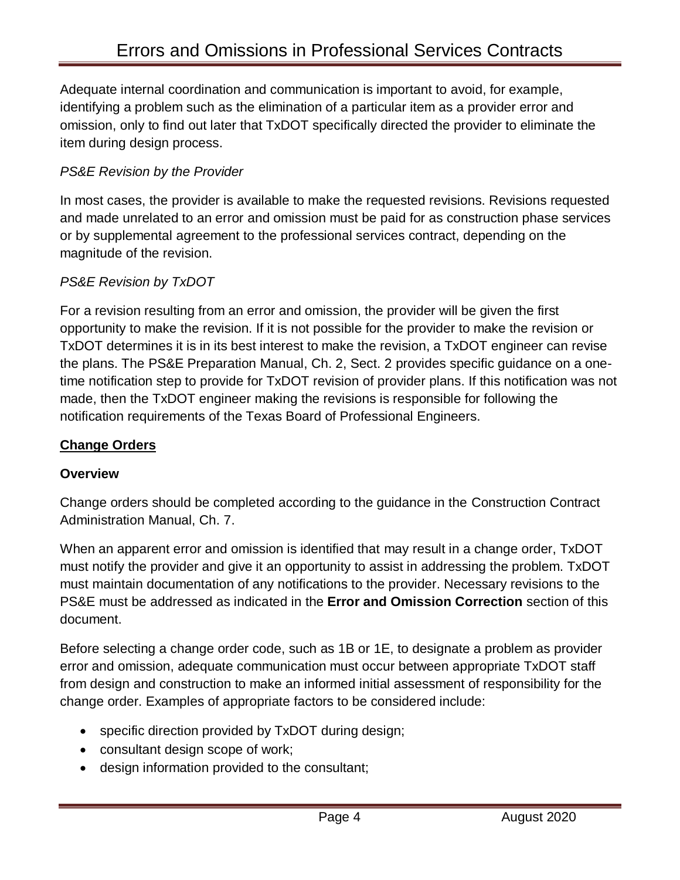Adequate internal coordination and communication is important to avoid, for example, identifying a problem such as the elimination of a particular item as a provider error and omission, only to find out later that TxDOT specifically directed the provider to eliminate the item during design process.

### *PS&E Revision by the Provider*

In most cases, the provider is available to make the requested revisions. Revisions requested and made unrelated to an error and omission must be paid for as construction phase services or by supplemental agreement to the professional services contract, depending on the magnitude of the revision.

#### *PS&E Revision by TxDOT*

For a revision resulting from an error and omission, the provider will be given the first opportunity to make the revision. If it is not possible for the provider to make the revision or TxDOT determines it is in its best interest to make the revision, a TxDOT engineer can revise the plans. The PS&E Preparation Manual, Ch. 2, Sect. 2 provides specific guidance on a onetime notification step to provide for TxDOT revision of provider plans. If this notification was not made, then the TxDOT engineer making the revisions is responsible for following the notification requirements of the Texas Board of Professional Engineers.

#### **Change Orders**

#### **Overview**

Change orders should be completed according to the guidance in the Construction Contract Administration Manual, Ch. 7.

When an apparent error and omission is identified that may result in a change order, TxDOT must notify the provider and give it an opportunity to assist in addressing the problem. TxDOT must maintain documentation of any notifications to the provider. Necessary revisions to the PS&E must be addressed as indicated in the **Error and Omission Correction** section of this document.

Before selecting a change order code, such as 1B or 1E, to designate a problem as provider error and omission, adequate communication must occur between appropriate TxDOT staff from design and construction to make an informed initial assessment of responsibility for the change order. Examples of appropriate factors to be considered include:

- specific direction provided by TxDOT during design;
- consultant design scope of work;
- design information provided to the consultant;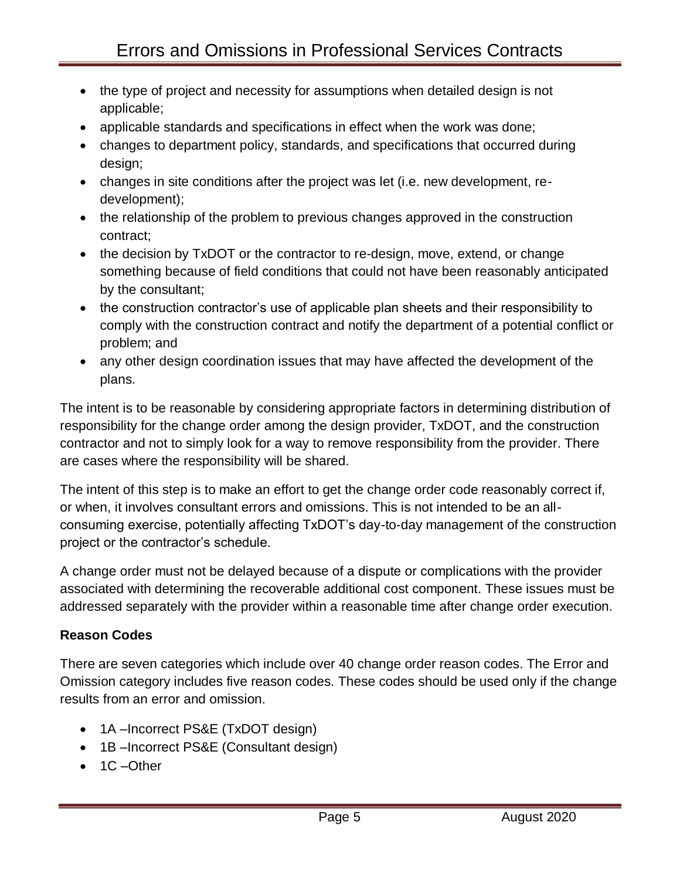- the type of project and necessity for assumptions when detailed design is not applicable;
- applicable standards and specifications in effect when the work was done;
- changes to department policy, standards, and specifications that occurred during design;
- changes in site conditions after the project was let (i.e. new development, redevelopment);
- the relationship of the problem to previous changes approved in the construction contract;
- the decision by TxDOT or the contractor to re-design, move, extend, or change something because of field conditions that could not have been reasonably anticipated by the consultant;
- the construction contractor's use of applicable plan sheets and their responsibility to comply with the construction contract and notify the department of a potential conflict or problem; and
- any other design coordination issues that may have affected the development of the plans.

The intent is to be reasonable by considering appropriate factors in determining distribution of responsibility for the change order among the design provider, TxDOT, and the construction contractor and not to simply look for a way to remove responsibility from the provider. There are cases where the responsibility will be shared.

The intent of this step is to make an effort to get the change order code reasonably correct if, or when, it involves consultant errors and omissions. This is not intended to be an allconsuming exercise, potentially affecting TxDOT's day-to-day management of the construction project or the contractor's schedule.

A change order must not be delayed because of a dispute or complications with the provider associated with determining the recoverable additional cost component. These issues must be addressed separately with the provider within a reasonable time after change order execution.

# **Reason Codes**

There are seven categories which include over 40 change order reason codes. The Error and Omission category includes five reason codes. These codes should be used only if the change results from an error and omission.

- 1A –Incorrect PS&E (TxDOT design)
- 1B –Incorrect PS&E (Consultant design)
- 1C –Other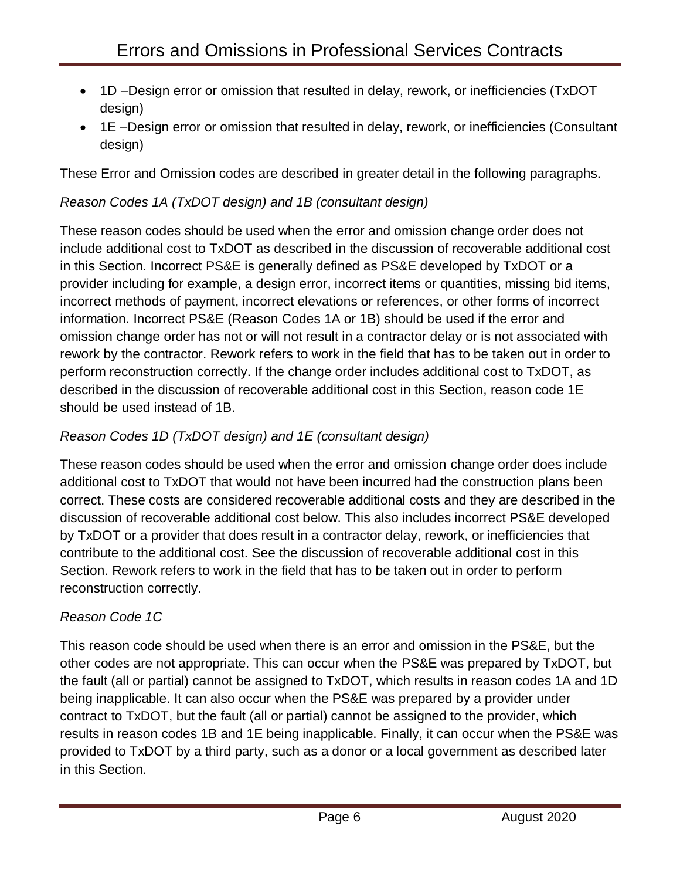- 1D Design error or omission that resulted in delay, rework, or inefficiencies (TxDOT design)
- 1E –Design error or omission that resulted in delay, rework, or inefficiencies (Consultant design)

These Error and Omission codes are described in greater detail in the following paragraphs.

# *Reason Codes 1A (TxDOT design) and 1B (consultant design)*

These reason codes should be used when the error and omission change order does not include additional cost to TxDOT as described in the discussion of recoverable additional cost in this Section. Incorrect PS&E is generally defined as PS&E developed by TxDOT or a provider including for example, a design error, incorrect items or quantities, missing bid items, incorrect methods of payment, incorrect elevations or references, or other forms of incorrect information. Incorrect PS&E (Reason Codes 1A or 1B) should be used if the error and omission change order has not or will not result in a contractor delay or is not associated with rework by the contractor. Rework refers to work in the field that has to be taken out in order to perform reconstruction correctly. If the change order includes additional cost to TxDOT, as described in the discussion of recoverable additional cost in this Section, reason code 1E should be used instead of 1B.

# *Reason Codes 1D (TxDOT design) and 1E (consultant design)*

These reason codes should be used when the error and omission change order does include additional cost to TxDOT that would not have been incurred had the construction plans been correct. These costs are considered recoverable additional costs and they are described in the discussion of recoverable additional cost below. This also includes incorrect PS&E developed by TxDOT or a provider that does result in a contractor delay, rework, or inefficiencies that contribute to the additional cost. See the discussion of recoverable additional cost in this Section. Rework refers to work in the field that has to be taken out in order to perform reconstruction correctly.

# *Reason Code 1C*

This reason code should be used when there is an error and omission in the PS&E, but the other codes are not appropriate. This can occur when the PS&E was prepared by TxDOT, but the fault (all or partial) cannot be assigned to TxDOT, which results in reason codes 1A and 1D being inapplicable. It can also occur when the PS&E was prepared by a provider under contract to TxDOT, but the fault (all or partial) cannot be assigned to the provider, which results in reason codes 1B and 1E being inapplicable. Finally, it can occur when the PS&E was provided to TxDOT by a third party, such as a donor or a local government as described later in this Section.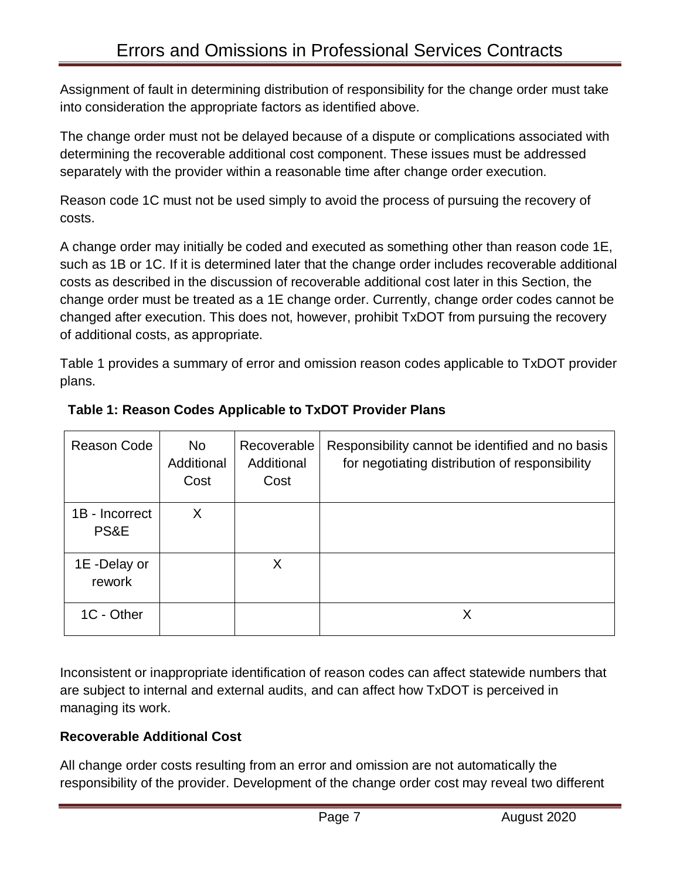Assignment of fault in determining distribution of responsibility for the change order must take into consideration the appropriate factors as identified above.

The change order must not be delayed because of a dispute or complications associated with determining the recoverable additional cost component. These issues must be addressed separately with the provider within a reasonable time after change order execution.

Reason code 1C must not be used simply to avoid the process of pursuing the recovery of costs.

A change order may initially be coded and executed as something other than reason code 1E, such as 1B or 1C. If it is determined later that the change order includes recoverable additional costs as described in the discussion of recoverable additional cost later in this Section, the change order must be treated as a 1E change order. Currently, change order codes cannot be changed after execution. This does not, however, prohibit TxDOT from pursuing the recovery of additional costs, as appropriate.

Table 1 provides a summary of error and omission reason codes applicable to TxDOT provider plans.

| Reason Code            | No.<br>Additional<br>Cost | Recoverable<br>Additional<br>Cost | Responsibility cannot be identified and no basis<br>for negotiating distribution of responsibility |
|------------------------|---------------------------|-----------------------------------|----------------------------------------------------------------------------------------------------|
| 1B - Incorrect<br>PS&E | X                         |                                   |                                                                                                    |
| 1E -Delay or<br>rework |                           | X                                 |                                                                                                    |
| 1C - Other             |                           |                                   | Х                                                                                                  |

# **Table 1: Reason Codes Applicable to TxDOT Provider Plans**

Inconsistent or inappropriate identification of reason codes can affect statewide numbers that are subject to internal and external audits, and can affect how TxDOT is perceived in managing its work.

# **Recoverable Additional Cost**

All change order costs resulting from an error and omission are not automatically the responsibility of the provider. Development of the change order cost may reveal two different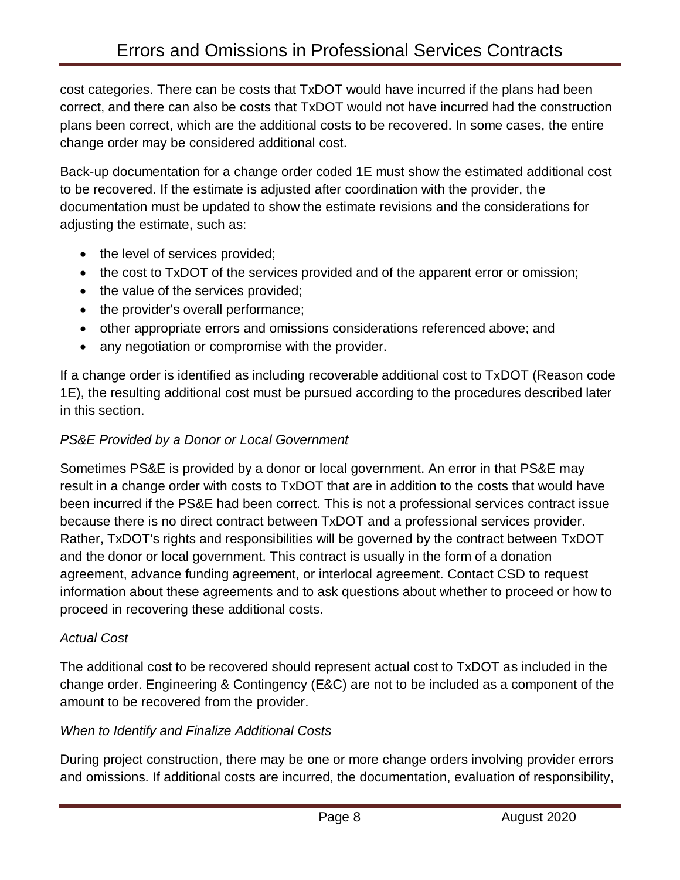cost categories. There can be costs that TxDOT would have incurred if the plans had been correct, and there can also be costs that TxDOT would not have incurred had the construction plans been correct, which are the additional costs to be recovered. In some cases, the entire change order may be considered additional cost.

Back-up documentation for a change order coded 1E must show the estimated additional cost to be recovered. If the estimate is adjusted after coordination with the provider, the documentation must be updated to show the estimate revisions and the considerations for adjusting the estimate, such as:

- the level of services provided;
- the cost to TxDOT of the services provided and of the apparent error or omission;
- the value of the services provided;
- the provider's overall performance;
- other appropriate errors and omissions considerations referenced above; and
- any negotiation or compromise with the provider.

If a change order is identified as including recoverable additional cost to TxDOT (Reason code 1E), the resulting additional cost must be pursued according to the procedures described later in this section.

## *PS&E Provided by a Donor or Local Government*

Sometimes PS&E is provided by a donor or local government. An error in that PS&E may result in a change order with costs to TxDOT that are in addition to the costs that would have been incurred if the PS&E had been correct. This is not a professional services contract issue because there is no direct contract between TxDOT and a professional services provider. Rather, TxDOT's rights and responsibilities will be governed by the contract between TxDOT and the donor or local government. This contract is usually in the form of a donation agreement, advance funding agreement, or interlocal agreement. Contact CSD to request information about these agreements and to ask questions about whether to proceed or how to proceed in recovering these additional costs.

# *Actual Cost*

The additional cost to be recovered should represent actual cost to TxDOT as included in the change order. Engineering & Contingency (E&C) are not to be included as a component of the amount to be recovered from the provider.

# *When to Identify and Finalize Additional Costs*

During project construction, there may be one or more change orders involving provider errors and omissions. If additional costs are incurred, the documentation, evaluation of responsibility,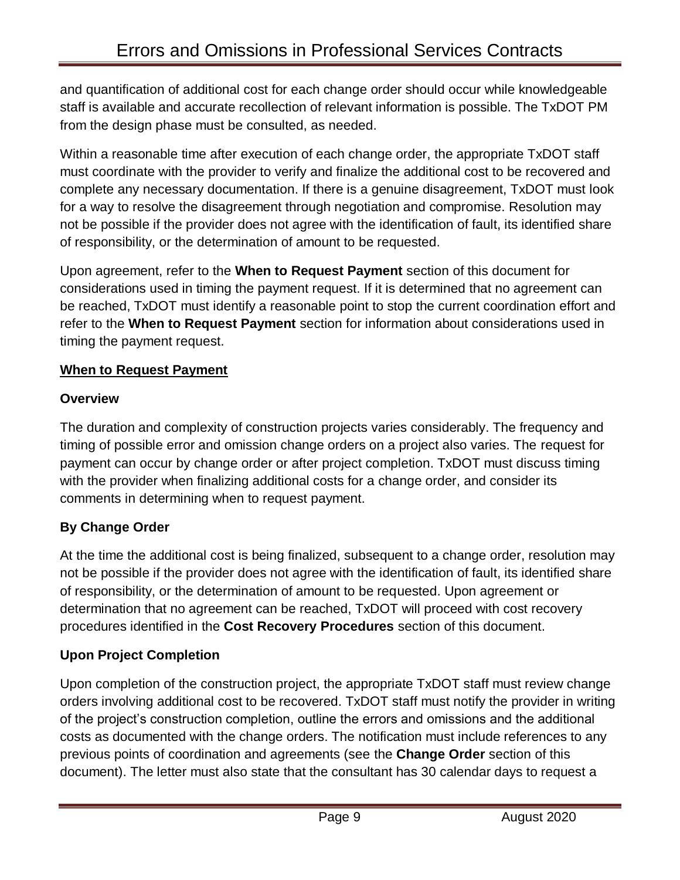and quantification of additional cost for each change order should occur while knowledgeable staff is available and accurate recollection of relevant information is possible. The TxDOT PM from the design phase must be consulted, as needed.

Within a reasonable time after execution of each change order, the appropriate TxDOT staff must coordinate with the provider to verify and finalize the additional cost to be recovered and complete any necessary documentation. If there is a genuine disagreement, TxDOT must look for a way to resolve the disagreement through negotiation and compromise. Resolution may not be possible if the provider does not agree with the identification of fault, its identified share of responsibility, or the determination of amount to be requested.

Upon agreement, refer to the **When to Request Payment** section of this document for considerations used in timing the payment request. If it is determined that no agreement can be reached, TxDOT must identify a reasonable point to stop the current coordination effort and refer to the **When to Request Payment** section for information about considerations used in timing the payment request.

# **When to Request Payment**

# **Overview**

The duration and complexity of construction projects varies considerably. The frequency and timing of possible error and omission change orders on a project also varies. The request for payment can occur by change order or after project completion. TxDOT must discuss timing with the provider when finalizing additional costs for a change order, and consider its comments in determining when to request payment.

# **By Change Order**

At the time the additional cost is being finalized, subsequent to a change order, resolution may not be possible if the provider does not agree with the identification of fault, its identified share of responsibility, or the determination of amount to be requested. Upon agreement or determination that no agreement can be reached, TxDOT will proceed with cost recovery procedures identified in the **Cost Recovery Procedures** section of this document.

# **Upon Project Completion**

Upon completion of the construction project, the appropriate TxDOT staff must review change orders involving additional cost to be recovered. TxDOT staff must notify the provider in writing of the project's construction completion, outline the errors and omissions and the additional costs as documented with the change orders. The notification must include references to any previous points of coordination and agreements (see the **Change Order** section of this document). The letter must also state that the consultant has 30 calendar days to request a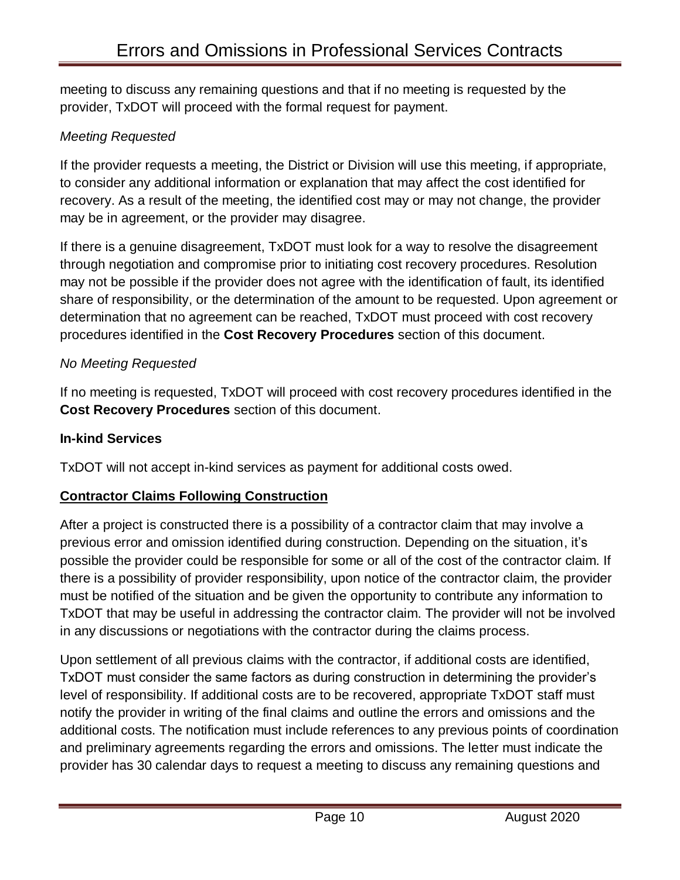meeting to discuss any remaining questions and that if no meeting is requested by the provider, TxDOT will proceed with the formal request for payment.

## *Meeting Requested*

If the provider requests a meeting, the District or Division will use this meeting, if appropriate, to consider any additional information or explanation that may affect the cost identified for recovery. As a result of the meeting, the identified cost may or may not change, the provider may be in agreement, or the provider may disagree.

If there is a genuine disagreement, TxDOT must look for a way to resolve the disagreement through negotiation and compromise prior to initiating cost recovery procedures. Resolution may not be possible if the provider does not agree with the identification of fault, its identified share of responsibility, or the determination of the amount to be requested. Upon agreement or determination that no agreement can be reached, TxDOT must proceed with cost recovery procedures identified in the **Cost Recovery Procedures** section of this document.

## *No Meeting Requested*

If no meeting is requested, TxDOT will proceed with cost recovery procedures identified in the **Cost Recovery Procedures** section of this document.

### **In-kind Services**

TxDOT will not accept in-kind services as payment for additional costs owed.

## **Contractor Claims Following Construction**

After a project is constructed there is a possibility of a contractor claim that may involve a previous error and omission identified during construction. Depending on the situation, it's possible the provider could be responsible for some or all of the cost of the contractor claim. If there is a possibility of provider responsibility, upon notice of the contractor claim, the provider must be notified of the situation and be given the opportunity to contribute any information to TxDOT that may be useful in addressing the contractor claim. The provider will not be involved in any discussions or negotiations with the contractor during the claims process.

Upon settlement of all previous claims with the contractor, if additional costs are identified, TxDOT must consider the same factors as during construction in determining the provider's level of responsibility. If additional costs are to be recovered, appropriate TxDOT staff must notify the provider in writing of the final claims and outline the errors and omissions and the additional costs. The notification must include references to any previous points of coordination and preliminary agreements regarding the errors and omissions. The letter must indicate the provider has 30 calendar days to request a meeting to discuss any remaining questions and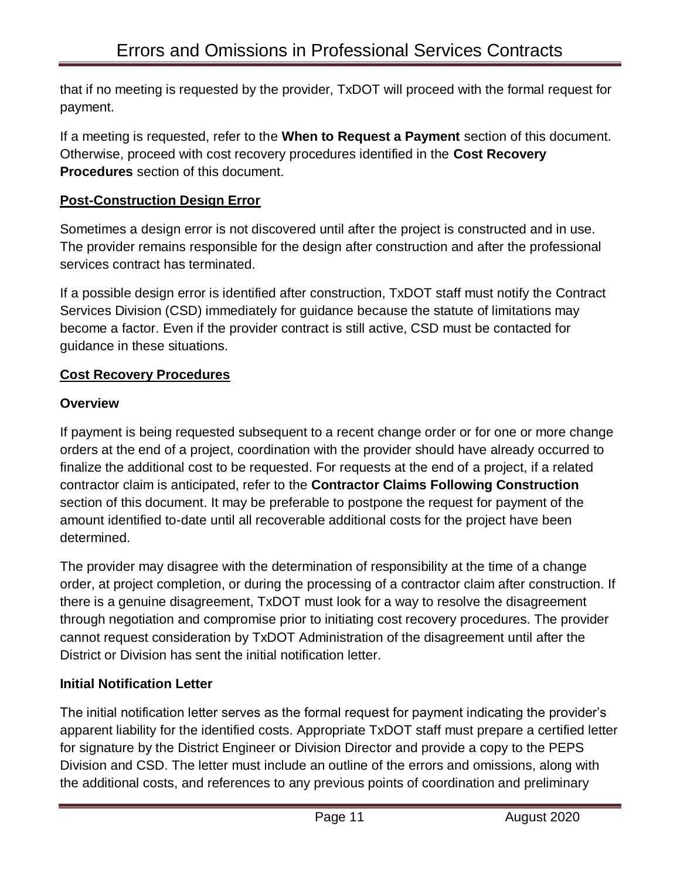that if no meeting is requested by the provider, TxDOT will proceed with the formal request for payment.

If a meeting is requested, refer to the **When to Request a Payment** section of this document. Otherwise, proceed with cost recovery procedures identified in the **Cost Recovery Procedures** section of this document.

## **Post-Construction Design Error**

Sometimes a design error is not discovered until after the project is constructed and in use. The provider remains responsible for the design after construction and after the professional services contract has terminated.

If a possible design error is identified after construction, TxDOT staff must notify the Contract Services Division (CSD) immediately for guidance because the statute of limitations may become a factor. Even if the provider contract is still active, CSD must be contacted for guidance in these situations.

## **Cost Recovery Procedures**

## **Overview**

If payment is being requested subsequent to a recent change order or for one or more change orders at the end of a project, coordination with the provider should have already occurred to finalize the additional cost to be requested. For requests at the end of a project, if a related contractor claim is anticipated, refer to the **Contractor Claims Following Construction** section of this document. It may be preferable to postpone the request for payment of the amount identified to-date until all recoverable additional costs for the project have been determined.

The provider may disagree with the determination of responsibility at the time of a change order, at project completion, or during the processing of a contractor claim after construction. If there is a genuine disagreement, TxDOT must look for a way to resolve the disagreement through negotiation and compromise prior to initiating cost recovery procedures. The provider cannot request consideration by TxDOT Administration of the disagreement until after the District or Division has sent the initial notification letter.

## **Initial Notification Letter**

The initial notification letter serves as the formal request for payment indicating the provider's apparent liability for the identified costs. Appropriate TxDOT staff must prepare a certified letter for signature by the District Engineer or Division Director and provide a copy to the PEPS Division and CSD. The letter must include an outline of the errors and omissions, along with the additional costs, and references to any previous points of coordination and preliminary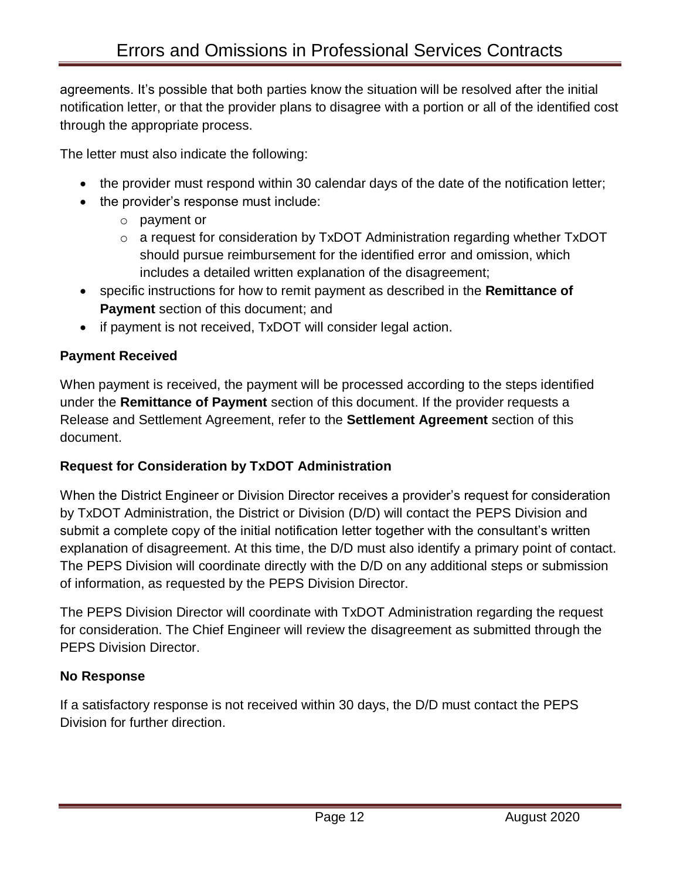agreements. It's possible that both parties know the situation will be resolved after the initial notification letter, or that the provider plans to disagree with a portion or all of the identified cost through the appropriate process.

The letter must also indicate the following:

- the provider must respond within 30 calendar days of the date of the notification letter;
- the provider's response must include:
	- o payment or
	- o a request for consideration by TxDOT Administration regarding whether TxDOT should pursue reimbursement for the identified error and omission, which includes a detailed written explanation of the disagreement;
- specific instructions for how to remit payment as described in the **Remittance of Payment** section of this document; and
- if payment is not received, TxDOT will consider legal action.

# **Payment Received**

When payment is received, the payment will be processed according to the steps identified under the **Remittance of Payment** section of this document. If the provider requests a Release and Settlement Agreement, refer to the **Settlement Agreement** section of this document.

# **Request for Consideration by TxDOT Administration**

When the District Engineer or Division Director receives a provider's request for consideration by TxDOT Administration, the District or Division (D/D) will contact the PEPS Division and submit a complete copy of the initial notification letter together with the consultant's written explanation of disagreement. At this time, the D/D must also identify a primary point of contact. The PEPS Division will coordinate directly with the D/D on any additional steps or submission of information, as requested by the PEPS Division Director.

The PEPS Division Director will coordinate with TxDOT Administration regarding the request for consideration. The Chief Engineer will review the disagreement as submitted through the PEPS Division Director.

# **No Response**

If a satisfactory response is not received within 30 days, the D/D must contact the PEPS Division for further direction.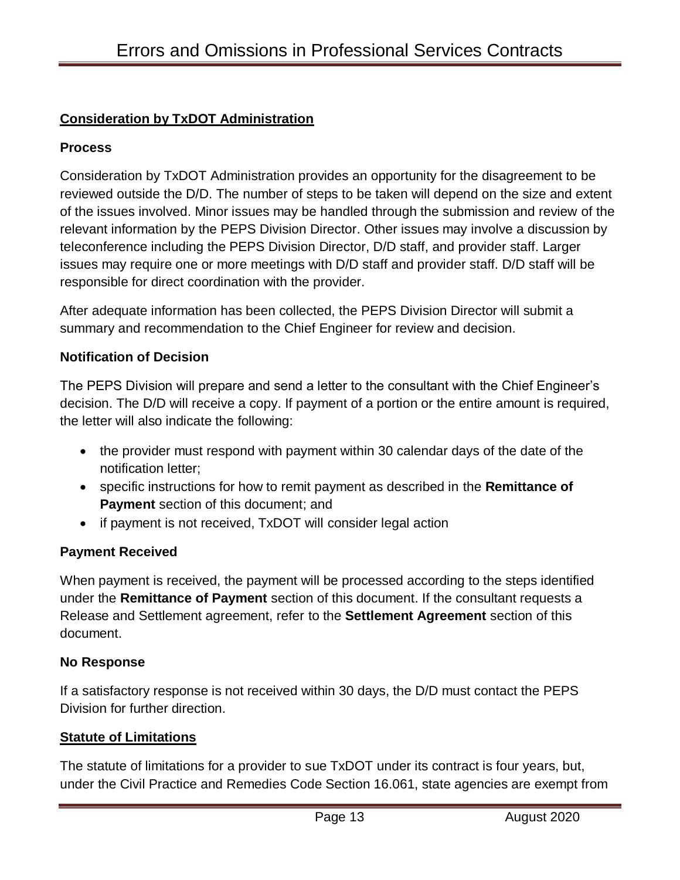## **Consideration by TxDOT Administration**

## **Process**

Consideration by TxDOT Administration provides an opportunity for the disagreement to be reviewed outside the D/D. The number of steps to be taken will depend on the size and extent of the issues involved. Minor issues may be handled through the submission and review of the relevant information by the PEPS Division Director. Other issues may involve a discussion by teleconference including the PEPS Division Director, D/D staff, and provider staff. Larger issues may require one or more meetings with D/D staff and provider staff. D/D staff will be responsible for direct coordination with the provider.

After adequate information has been collected, the PEPS Division Director will submit a summary and recommendation to the Chief Engineer for review and decision.

#### **Notification of Decision**

The PEPS Division will prepare and send a letter to the consultant with the Chief Engineer's decision. The D/D will receive a copy. If payment of a portion or the entire amount is required, the letter will also indicate the following:

- the provider must respond with payment within 30 calendar days of the date of the notification letter;
- specific instructions for how to remit payment as described in the **Remittance of Payment** section of this document; and
- if payment is not received, TxDOT will consider legal action

## **Payment Received**

When payment is received, the payment will be processed according to the steps identified under the **Remittance of Payment** section of this document. If the consultant requests a Release and Settlement agreement, refer to the **Settlement Agreement** section of this document.

#### **No Response**

If a satisfactory response is not received within 30 days, the D/D must contact the PEPS Division for further direction.

#### **Statute of Limitations**

The statute of limitations for a provider to sue TxDOT under its contract is four years, but, under the Civil Practice and Remedies Code Section 16.061, state agencies are exempt from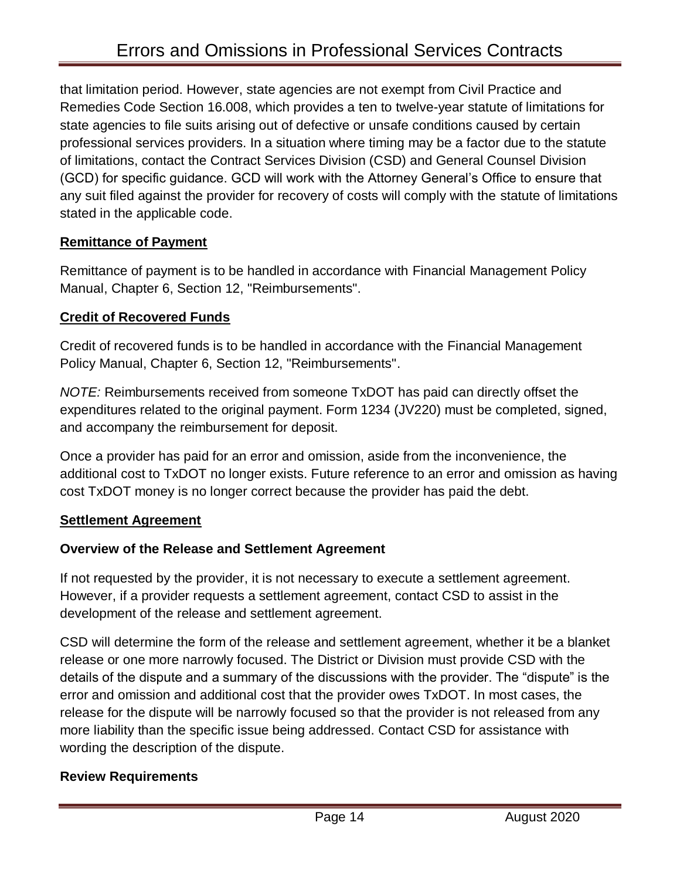that limitation period. However, state agencies are not exempt from Civil Practice and Remedies Code Section 16.008, which provides a ten to twelve-year statute of limitations for state agencies to file suits arising out of defective or unsafe conditions caused by certain professional services providers. In a situation where timing may be a factor due to the statute of limitations, contact the Contract Services Division (CSD) and General Counsel Division (GCD) for specific guidance. GCD will work with the Attorney General's Office to ensure that any suit filed against the provider for recovery of costs will comply with the statute of limitations stated in the applicable code.

#### **Remittance of Payment**

Remittance of payment is to be handled in accordance with [Fi](file:///C:/Users/sjames/AppData/Local/Microsoft/Windows/INetCache/Content.Outlook/fmp/reimbursements.htm)nancial Management Policy Manual, Chapter 6, Section 12, "Reimbursements".

#### **Credit of Recovered Funds**

Credit of recovered funds is to be handled in accordance with the [Fi](file:///C:/Users/sjames/AppData/Local/Microsoft/Windows/INetCache/Content.Outlook/fmp/reimbursements.htm)nancial Management Policy Manual, Chapter 6, Section 12, "Reimbursements".

*NOTE:* Reimbursements received from someone TxDOT has paid can directly offset the expenditures related to the original payment. Form 1234 (JV220) must be completed, signed, and accompany the reimbursement for deposit.

Once a provider has paid for an error and omission, aside from the inconvenience, the additional cost to TxDOT no longer exists. Future reference to an error and omission as having cost TxDOT money is no longer correct because the provider has paid the debt.

#### **Settlement Agreement**

## **Overview of the Release and Settlement Agreement**

If not requested by the provider, it is not necessary to execute a settlement agreement. However, if a provider requests a settlement agreement, contact CSD to assist in the development of the release and settlement agreement.

CSD will determine the form of the release and settlement agreement, whether it be a blanket release or one more narrowly focused. The District or Division must provide CSD with the details of the dispute and a summary of the discussions with the provider. The "dispute" is the error and omission and additional cost that the provider owes TxDOT. In most cases, the release for the dispute will be narrowly focused so that the provider is not released from any more liability than the specific issue being addressed. Contact CSD for assistance with wording the description of the dispute.

#### **Review Requirements**